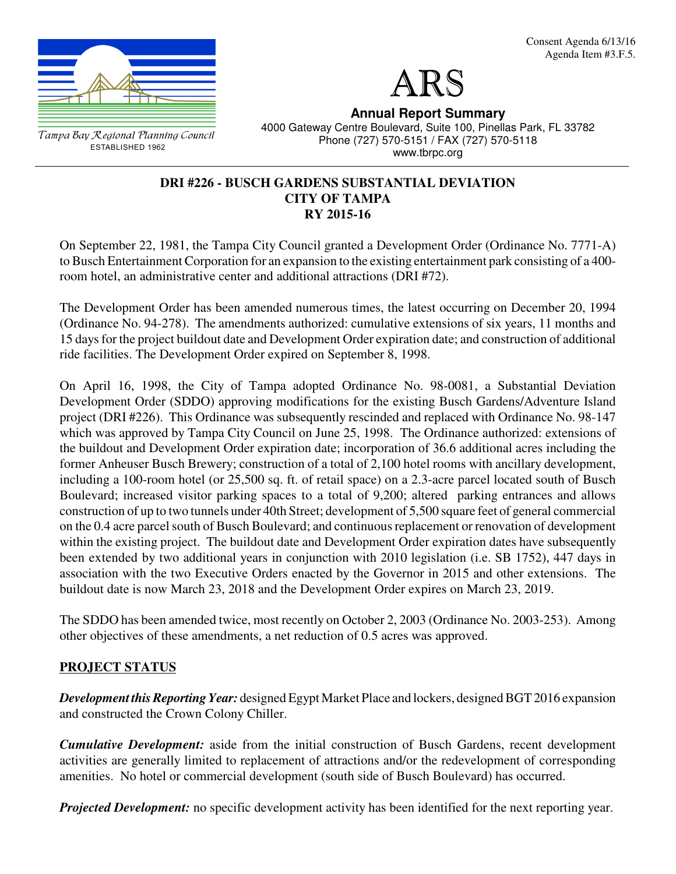

ESTABLISHED 1962



**Annual Report Summary**

4000 Gateway Centre Boulevard, Suite 100, Pinellas Park, FL 33782 Phone (727) 570-5151 / FAX (727) 570-5118 www.tbrpc.org

#### **DRI #226 - BUSCH GARDENS SUBSTANTIAL DEVIATION CITY OF TAMPA RY 2015-16**

On September 22, 1981, the Tampa City Council granted a Development Order (Ordinance No. 7771-A) to Busch Entertainment Corporation for an expansion to the existing entertainment park consisting of a 400 room hotel, an administrative center and additional attractions (DRI #72).

The Development Order has been amended numerous times, the latest occurring on December 20, 1994 (Ordinance No. 94-278). The amendments authorized: cumulative extensions of six years, 11 months and 15 days for the project buildout date and Development Order expiration date; and construction of additional ride facilities. The Development Order expired on September 8, 1998.

On April 16, 1998, the City of Tampa adopted Ordinance No. 98-0081, a Substantial Deviation Development Order (SDDO) approving modifications for the existing Busch Gardens/Adventure Island project (DRI #226). This Ordinance was subsequently rescinded and replaced with Ordinance No. 98-147 which was approved by Tampa City Council on June 25, 1998. The Ordinance authorized: extensions of the buildout and Development Order expiration date; incorporation of 36.6 additional acres including the former Anheuser Busch Brewery; construction of a total of 2,100 hotel rooms with ancillary development, including a 100-room hotel (or 25,500 sq. ft. of retail space) on a 2.3-acre parcel located south of Busch Boulevard; increased visitor parking spaces to a total of 9,200; altered parking entrances and allows construction of up to two tunnels under 40th Street; development of 5,500 square feet of general commercial on the 0.4 acre parcel south of Busch Boulevard; and continuous replacement or renovation of development within the existing project. The buildout date and Development Order expiration dates have subsequently been extended by two additional years in conjunction with 2010 legislation (i.e. SB 1752), 447 days in association with the two Executive Orders enacted by the Governor in 2015 and other extensions. The buildout date is now March 23, 2018 and the Development Order expires on March 23, 2019.

The SDDO has been amended twice, most recently on October 2, 2003 (Ordinance No. 2003-253). Among other objectives of these amendments, a net reduction of 0.5 acres was approved.

# **PROJECT STATUS**

*Development this Reporting Year:* designed Egypt Market Place and lockers, designed BGT 2016 expansion and constructed the Crown Colony Chiller.

*Cumulative Development:* aside from the initial construction of Busch Gardens, recent development activities are generally limited to replacement of attractions and/or the redevelopment of corresponding amenities. No hotel or commercial development (south side of Busch Boulevard) has occurred.

*Projected Development:* no specific development activity has been identified for the next reporting year.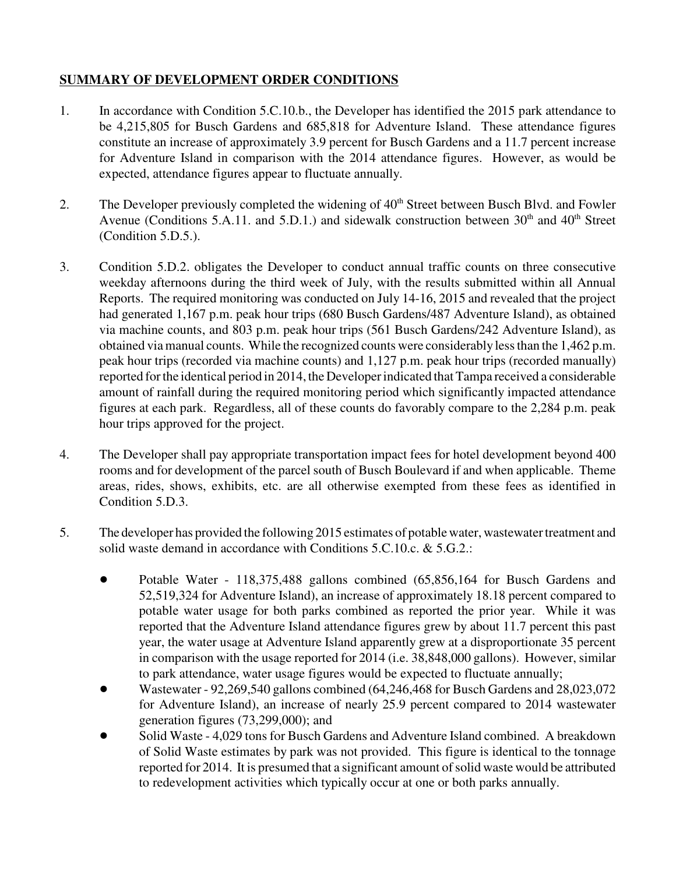# **SUMMARY OF DEVELOPMENT ORDER CONDITIONS**

- 1. In accordance with Condition 5.C.10.b., the Developer has identified the 2015 park attendance to be 4,215,805 for Busch Gardens and 685,818 for Adventure Island. These attendance figures constitute an increase of approximately 3.9 percent for Busch Gardens and a 11.7 percent increase for Adventure Island in comparison with the 2014 attendance figures. However, as would be expected, attendance figures appear to fluctuate annually.
- 2. The Developer previously completed the widening of 40<sup>th</sup> Street between Busch Blvd. and Fowler Avenue (Conditions 5.A.11. and 5.D.1.) and sidewalk construction between  $30<sup>th</sup>$  and  $40<sup>th</sup>$  Street (Condition 5.D.5.).
- 3. Condition 5.D.2. obligates the Developer to conduct annual traffic counts on three consecutive weekday afternoons during the third week of July, with the results submitted within all Annual Reports. The required monitoring was conducted on July 14-16, 2015 and revealed that the project had generated 1,167 p.m. peak hour trips (680 Busch Gardens/487 Adventure Island), as obtained via machine counts, and 803 p.m. peak hour trips (561 Busch Gardens/242 Adventure Island), as obtained via manual counts. While the recognized counts were considerably less than the 1,462 p.m. peak hour trips (recorded via machine counts) and 1,127 p.m. peak hour trips (recorded manually) reported for the identical period in 2014, the Developer indicated that Tampa received a considerable amount of rainfall during the required monitoring period which significantly impacted attendance figures at each park. Regardless, all of these counts do favorably compare to the 2,284 p.m. peak hour trips approved for the project.
- 4. The Developer shall pay appropriate transportation impact fees for hotel development beyond 400 rooms and for development of the parcel south of Busch Boulevard if and when applicable. Theme areas, rides, shows, exhibits, etc. are all otherwise exempted from these fees as identified in Condition 5.D.3.
- 5. The developer has provided the following 2015 estimates of potable water, wastewater treatment and solid waste demand in accordance with Conditions 5.C.10.c. & 5.G.2.:
	- Potable Water 118,375,488 gallons combined (65,856,164 for Busch Gardens and 52,519,324 for Adventure Island), an increase of approximately 18.18 percent compared to potable water usage for both parks combined as reported the prior year. While it was reported that the Adventure Island attendance figures grew by about 11.7 percent this past year, the water usage at Adventure Island apparently grew at a disproportionate 35 percent in comparison with the usage reported for 2014 (i.e. 38,848,000 gallons). However, similar to park attendance, water usage figures would be expected to fluctuate annually;
	- ! Wastewater 92,269,540 gallons combined (64,246,468 for Busch Gardens and 28,023,072 for Adventure Island), an increase of nearly 25.9 percent compared to 2014 wastewater generation figures (73,299,000); and
	- Solid Waste 4,029 tons for Busch Gardens and Adventure Island combined. A breakdown of Solid Waste estimates by park was not provided. This figure is identical to the tonnage reported for 2014. It is presumed that a significant amount of solid waste would be attributed to redevelopment activities which typically occur at one or both parks annually.